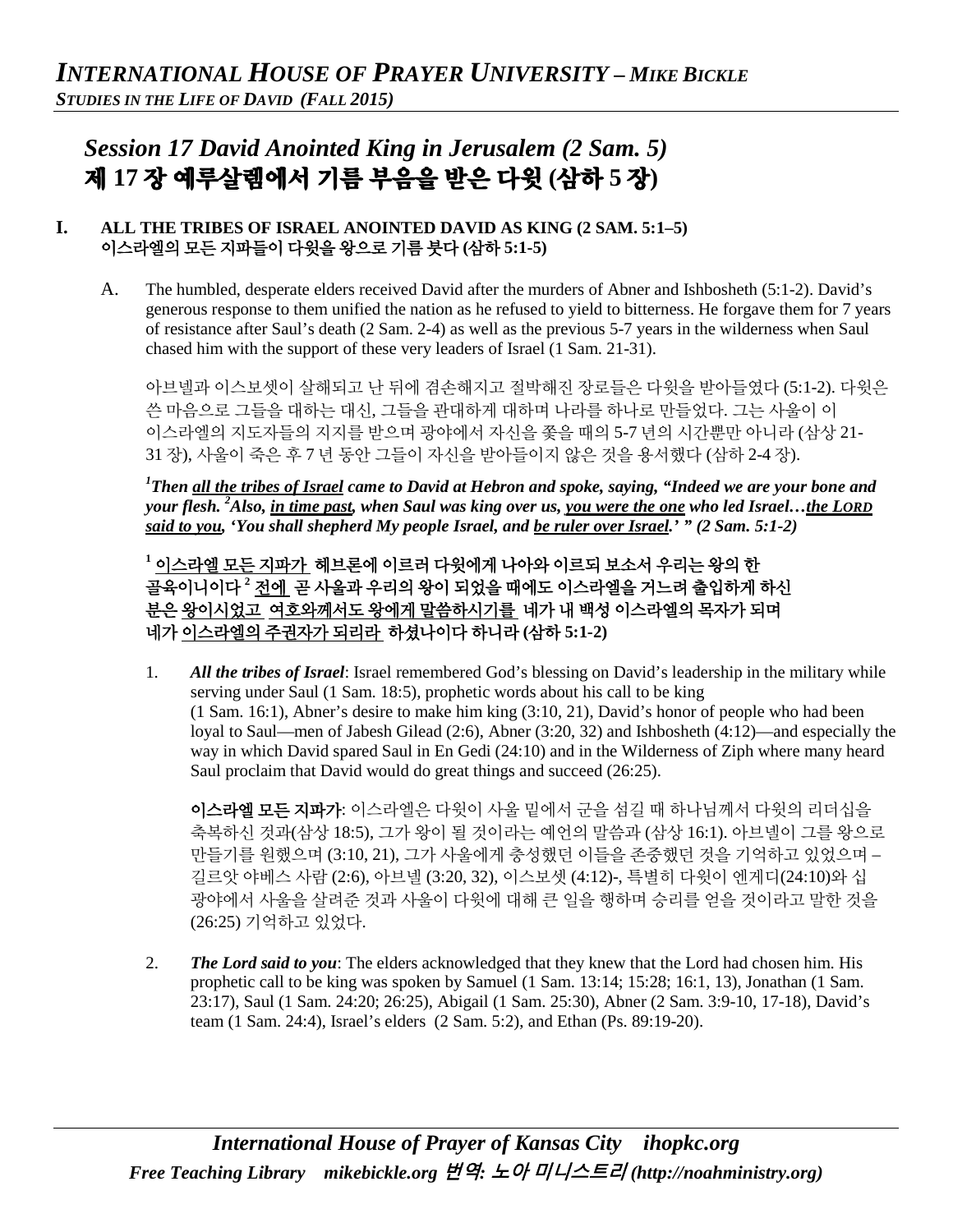# *Session 17 David Anointed King in Jerusalem (2 Sam. 5)*  제 **17** 장 예루살렘에서 기름 부음을 받은 다윗 **(**삼하 **5** 장**)**

### **I. ALL THE TRIBES OF ISRAEL ANOINTED DAVID AS KING (2 SAM. 5:1–5)** 이스라엘의 모든 지파들이 다윗을 왕으로 기름 붓다 **(**삼하 **5:1-5)**

A. The humbled, desperate elders received David after the murders of Abner and Ishbosheth (5:1-2). David's generous response to them unified the nation as he refused to yield to bitterness. He forgave them for 7 years of resistance after Saul's death (2 Sam. 2-4) as well as the previous 5-7 years in the wilderness when Saul chased him with the support of these very leaders of Israel (1 Sam. 21-31).

아브넬과 이스보셋이 살해되고 난 뒤에 겸손해지고 절박해진 장로들은 다윗을 받아들였다 (5:1-2). 다윗은 쓴 마음으로 그들을 대하는 대신, 그들을 관대하게 대하며 나라를 하나로 만들었다. 그는 사울이 이 이스라엘의 지도자들의 지지를 받으며 광야에서 자신을 쫓을 때의 5-7 년의 시간뿐만 아니라 (삼상 21- 31 장), 사울이 죽은 후 7 년 동안 그들이 자신을 받아들이지 않은 것을 용서했다 (삼하 2-4 장).

*1 Then all the tribes of Israel came to David at Hebron and spoke, saying, "Indeed we are your bone and your flesh. 2 Also, in time past, when Saul was king over us, you were the one who led Israel…the LORD said to you, 'You shall shepherd My people Israel, and be ruler over Israel.' " (2 Sam. 5:1-2)*

**<sup>1</sup>** 이스라엘 모든 지파가 헤브론에 이르러 다윗에게 나아와 이르되 보소서 우리는 왕의 한 골육이니이다 **<sup>2</sup>** 전에 곧 사울과 우리의 왕이 되었을 때에도 이스라엘을 거느려 출입하게 하신 분은 왕이시었고 여호와께서도 왕에게 말씀하시기를 네가 내 백성 이스라엘의 목자가 되며 네가 이스라엘의 주권자가 되리라 하셨나이다 하니라 **(**삼하 **5:1-2)**

1. *All the tribes of Israel*: Israel remembered God's blessing on David's leadership in the military while serving under Saul (1 Sam. 18:5), prophetic words about his call to be king (1 Sam. 16:1), Abner's desire to make him king (3:10, 21), David's honor of people who had been loyal to Saul—men of Jabesh Gilead (2:6), Abner (3:20, 32) and Ishbosheth (4:12)—and especially the way in which David spared Saul in En Gedi (24:10) and in the Wilderness of Ziph where many heard Saul proclaim that David would do great things and succeed (26:25).

이스라엘 모든 지파가: 이스라엘은 다윗이 사울 밑에서 군을 섬길 때 하나님께서 다윗의 리더십을 축복하신 것과(삼상 18:5), 그가 왕이 될 것이라는 예언의 말씀과 (삼상 16:1). 아브넬이 그를 왕으로 만들기를 원했으며 (3:10, 21), 그가 사울에게 충성했던 이들을 존중했던 것을 기억하고 있었으며 – 길르앗 야베스 사람 (2:6), 아브넬 (3:20, 32), 이스보셋 (4:12)-, 특별히 다윗이 엔게디(24:10)와 십 광야에서 사울을 살려준 것과 사울이 다윗에 대해 큰 일을 행하며 승리를 얻을 것이라고 말한 것을 (26:25) 기억하고 있었다.

2. *The Lord said to you*: The elders acknowledged that they knew that the Lord had chosen him. His prophetic call to be king was spoken by Samuel (1 Sam. 13:14; 15:28; 16:1, 13), Jonathan (1 Sam. 23:17), Saul (1 Sam. 24:20; 26:25), Abigail (1 Sam. 25:30), Abner (2 Sam. 3:9-10, 17-18), David's team (1 Sam. 24:4), Israel's elders (2 Sam. 5:2), and Ethan (Ps. 89:19-20).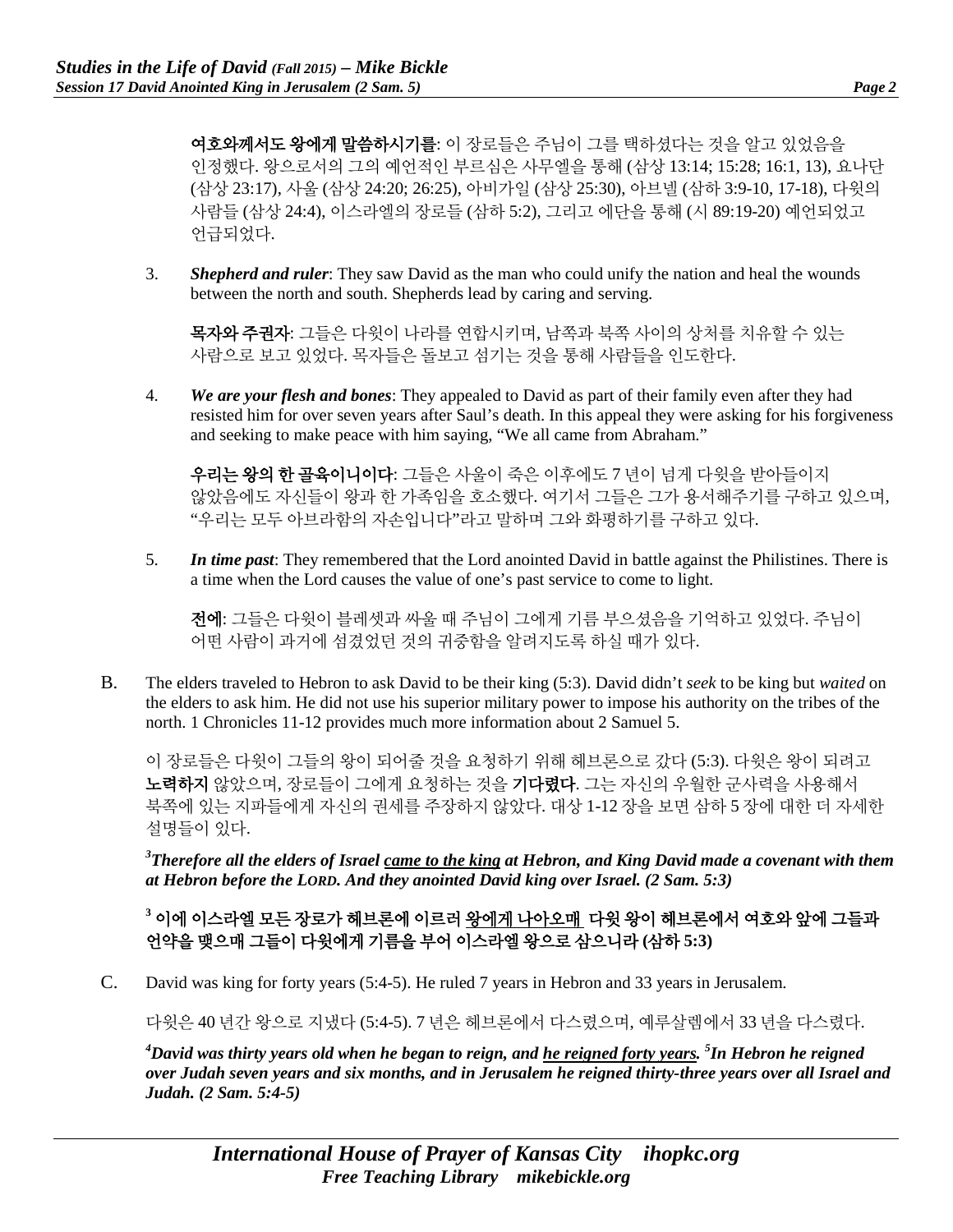여호와께서도 왕에게 말씀하시기를: 이 장로들은 주님이 그를 택하셨다는 것을 알고 있었음을 인정했다. 왕으로서의 그의 예언적인 부르심은 사무엘을 통해 (삼상 13:14; 15:28; 16:1, 13), 요나단 (삼상 23:17), 사울 (삼상 24:20; 26:25), 아비가일 (삼상 25:30), 아브넬 (삼하 3:9-10, 17-18), 다윗의 사람들 (삼상 24:4), 이스라엘의 장로들 (삼하 5:2), 그리고 에단을 통해 (시 89:19-20) 예언되었고 언급되었다.

3. *Shepherd and ruler*: They saw David as the man who could unify the nation and heal the wounds between the north and south. Shepherds lead by caring and serving.

목자와 주권자: 그들은 다윗이 나라를 연합시키며, 남쪽과 북쪽 사이의 상처를 치유할 수 있는 사람으로 보고 있었다. 목자들은 돌보고 섬기는 것을 통해 사람들을 인도한다.

4. *We are your flesh and bones*: They appealed to David as part of their family even after they had resisted him for over seven years after Saul's death. In this appeal they were asking for his forgiveness and seeking to make peace with him saying, "We all came from Abraham."

우리는 왕의 한 골육이니이다: 그들은 사울이 죽은 이후에도 7 년이 넘게 다윗을 받아들이지 않았음에도 자신들이 왕과 한 가족임을 호소했다. 여기서 그들은 그가 용서해주기를 구하고 있으며, "우리는 모두 아브라함의 자손입니다"라고 말하며 그와 화평하기를 구하고 있다.

5. *In time past*: They remembered that the Lord anointed David in battle against the Philistines. There is a time when the Lord causes the value of one's past service to come to light.

전에: 그들은 다윗이 블레셋과 싸울 때 주님이 그에게 기름 부으셨음을 기억하고 있었다. 주님이 어떤 사람이 과거에 섬겼었던 것의 귀중함을 알려지도록 하실 때가 있다.

B. The elders traveled to Hebron to ask David to be their king (5:3). David didn't *seek* to be king but *waited* on the elders to ask him. He did not use his superior military power to impose his authority on the tribes of the north. 1 Chronicles 11-12 provides much more information about 2 Samuel 5.

이 장로들은 다윗이 그들의 왕이 되어줄 것을 요청하기 위해 헤브론으로 갔다 (5:3). 다윗은 왕이 되려고 노력하지 않았으며, 장로들이 그에게 요청하는 것을 기다렸다. 그는 자신의 우월한 군사력을 사용해서 북쪽에 있는 지파들에게 자신의 권세를 주장하지 않았다. 대상 1-12 장을 보면 삼하 5 장에 대한 더 자세한 설명들이 있다.

*3 Therefore all the elders of Israel came to the king at Hebron, and King David made a covenant with them at Hebron before the LORD. And they anointed David king over Israel. (2 Sam. 5:3)*

**<sup>3</sup>** 이에 이스라엘 모든 장로가 헤브론에 이르러 왕에게 나아오매 다윗 왕이 헤브론에서 여호와 앞에 그들과 언약을 맺으매 그들이 다윗에게 기름을 부어 이스라엘 왕으로 삼으니라 **(**삼하 **5:3)**

C. David was king for forty years (5:4-5). He ruled 7 years in Hebron and 33 years in Jerusalem.

다윗은 40 년간 왕으로 지냈다 (5:4-5). 7 년은 헤브론에서 다스렸으며, 예루살렘에서 33 년을 다스렸다.

*4 David was thirty years old when he began to reign, and he reigned forty years. 5 In Hebron he reigned over Judah seven years and six months, and in Jerusalem he reigned thirty-three years over all Israel and Judah. (2 Sam. 5:4-5)*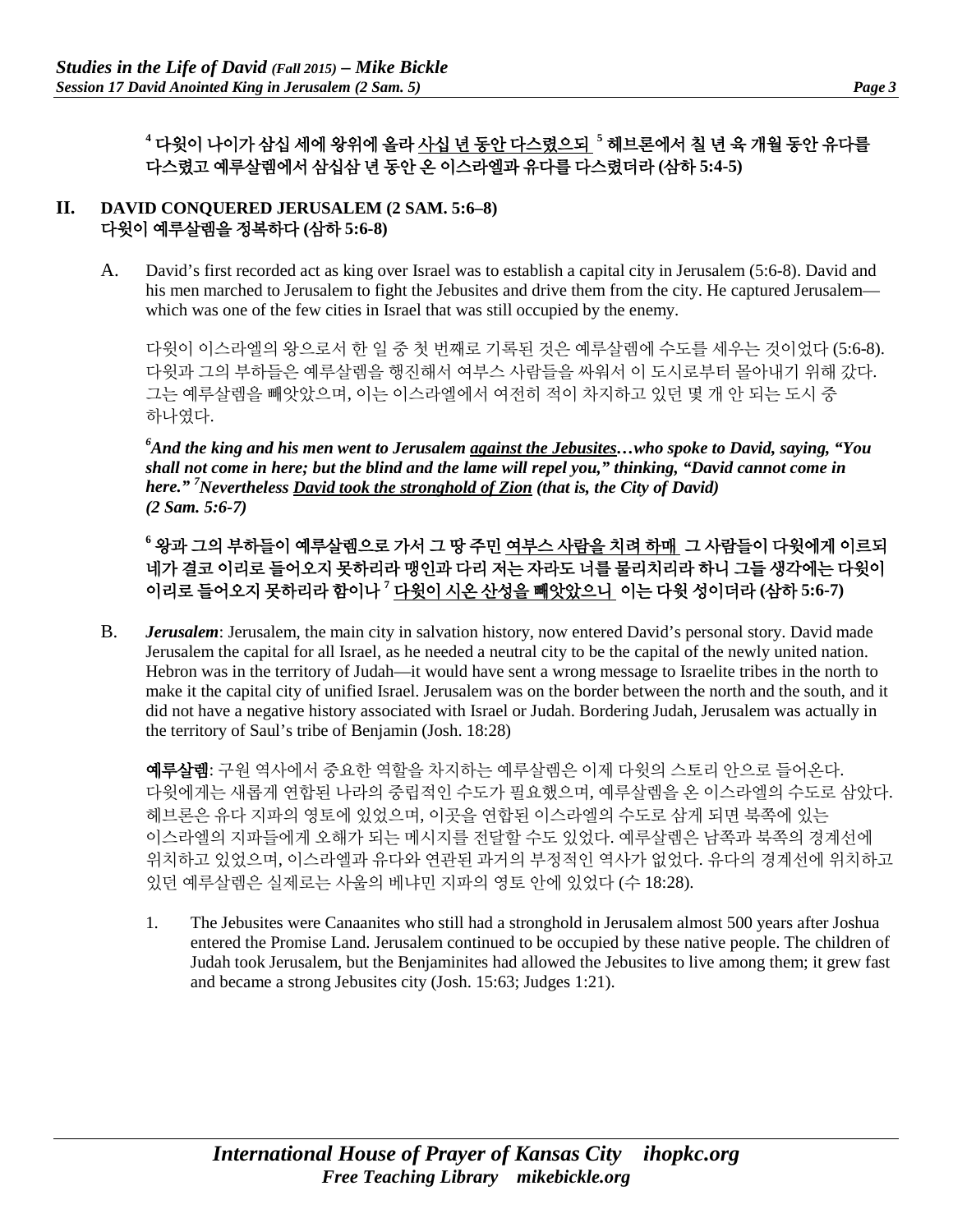## **<sup>4</sup>** 다윗이 나이가 삼십 세에 왕위에 올라 사십 년 동안 다스렸으되 **<sup>5</sup>** 헤브론에서 칠 년 육 개월 동안 유다를 다스렸고 예루살렘에서 삼십삼 년 동안 온 이스라엘과 유다를 다스렸더라 **(**삼하 **5:4-5)**

#### **II. DAVID CONQUERED JERUSALEM (2 SAM. 5:6–8)** 다윗이 예루살렘을 정복하다 **(**삼하 **5:6-8)**

A. David's first recorded act as king over Israel was to establish a capital city in Jerusalem (5:6-8). David and his men marched to Jerusalem to fight the Jebusites and drive them from the city. He captured Jerusalem which was one of the few cities in Israel that was still occupied by the enemy.

다윗이 이스라엘의 왕으로서 한 일 중 첫 번째로 기록된 것은 예루살렘에 수도를 세우는 것이었다 (5:6-8). 다윗과 그의 부하들은 예루살렘을 행진해서 여부스 사람들을 싸워서 이 도시로부터 몰아내기 위해 갔다. 그는 예루살렘을 빼앗았으며, 이는 이스라엘에서 여전히 적이 차지하고 있던 몇 개 안 되는 도시 중 하나였다.

*6 And the king and his men went to Jerusalem against the Jebusites…who spoke to David, saying, "You shall not come in here; but the blind and the lame will repel you," thinking, "David cannot come in here." 7 Nevertheless David took the stronghold of Zion (that is, the City of David) (2 Sam. 5:6-7)*

## **<sup>6</sup>** 왕과 그의 부하들이 예루살렘으로 가서 그 땅 주민 여부스 사람을 치려 하매 그 사람들이 다윗에게 이르되 네가 결코 이리로 들어오지 못하리라 맹인과 다리 저는 자라도 너를 물리치리라 하니 그들 생각에는 다윗이 이리로 들어오지 못하리라 함이나 **<sup>7</sup>** 다윗이 시온 산성을 빼앗았으니 이는 다윗 성이더라 **(**삼하 **5:6-7)**

B. *Jerusalem*: Jerusalem, the main city in salvation history, now entered David's personal story. David made Jerusalem the capital for all Israel, as he needed a neutral city to be the capital of the newly united nation. Hebron was in the territory of Judah—it would have sent a wrong message to Israelite tribes in the north to make it the capital city of unified Israel. Jerusalem was on the border between the north and the south, and it did not have a negative history associated with Israel or Judah. Bordering Judah, Jerusalem was actually in the territory of Saul's tribe of Benjamin (Josh. 18:28)

예루살렘: 구원 역사에서 중요한 역할을 차지하는 예루살렘은 이제 다윗의 스토리 안으로 들어온다. 다윗에게는 새롭게 연합된 나라의 중립적인 수도가 필요했으며, 예루살렘을 온 이스라엘의 수도로 삼았다. 헤브론은 유다 지파의 영토에 있었으며, 이곳을 연합된 이스라엘의 수도로 삼게 되면 북쪽에 있는 이스라엘의 지파들에게 오해가 되는 메시지를 전달할 수도 있었다. 예루살렘은 남쪽과 북쪽의 경계선에 위치하고 있었으며, 이스라엘과 유다와 연관된 과거의 부정적인 역사가 없었다. 유다의 경계선에 위치하고 있던 예루살렘은 실제로는 사울의 베냐민 지파의 영토 안에 있었다 (수 18:28).

1. The Jebusites were Canaanites who still had a stronghold in Jerusalem almost 500 years after Joshua entered the Promise Land. Jerusalem continued to be occupied by these native people. The children of Judah took Jerusalem, but the Benjaminites had allowed the Jebusites to live among them; it grew fast and became a strong Jebusites city (Josh. 15:63; Judges 1:21).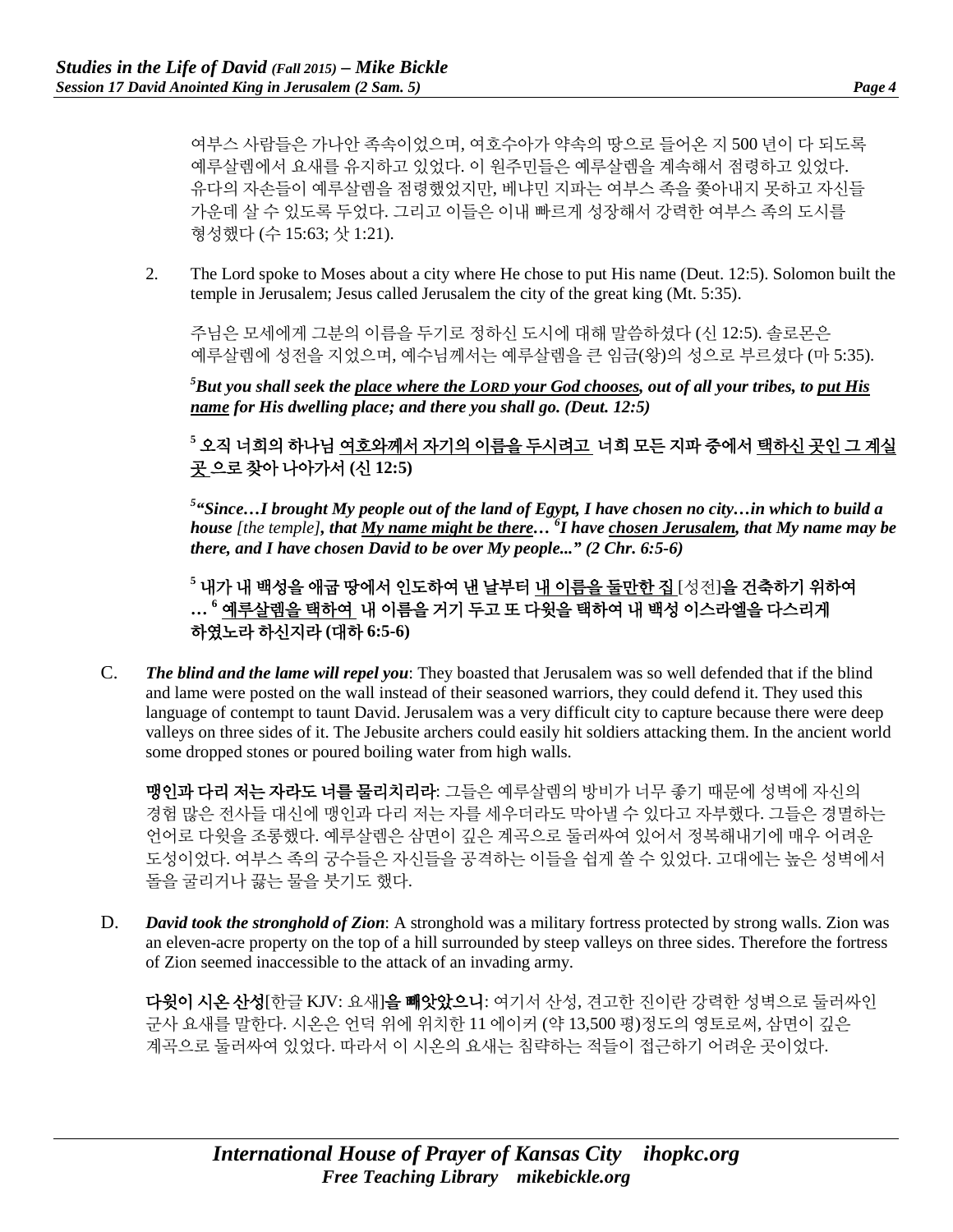여부스 사람들은 가나안 족속이었으며, 여호수아가 약속의 땅으로 들어온 지 500 년이 다 되도록 예루살렘에서 요새를 유지하고 있었다. 이 원주민들은 예루살렘을 계속해서 점령하고 있었다. 유다의 자손들이 예루살렘을 점령했었지만, 베냐민 지파는 여부스 족을 쫓아내지 못하고 자신들 가운데 살 수 있도록 두었다. 그리고 이들은 이내 빠르게 성장해서 강력한 여부스 족의 도시를 형성했다 (수 15:63; 삿 1:21).

2. The Lord spoke to Moses about a city where He chose to put His name (Deut. 12:5). Solomon built the temple in Jerusalem; Jesus called Jerusalem the city of the great king (Mt. 5:35).

주님은 모세에게 그분의 이름을 두기로 정하신 도시에 대해 말씀하셨다 (신 12:5). 솔로몬은 예루살렘에 성전을 지었으며, 예수님께서는 예루살렘을 큰 임금(왕)의 성으로 부르셨다 (마 5:35).

*5 But you shall seek the place where the LORD your God chooses, out of all your tribes, to put His name for His dwelling place; and there you shall go. (Deut. 12:5)*

**<sup>5</sup>** 오직 너희의 하나님 여호와께서 자기의 이름을 두시려고 너희 모든 지파 중에서 택하신 곳인 그 계실 곳 으로 찾아 나아가서 **(**신 **12:5)**

*5 "Since…I brought My people out of the land of Egypt, I have chosen no city…in which to build a house [the temple], that My name might be there… 6 I have chosen Jerusalem, that My name may be there, and I have chosen David to be over My people..." (2 Chr. 6:5-6)*

**<sup>5</sup>** 내가 내 백성을 애굽 땅에서 인도하여 낸 날부터 내 이름을 둘만한 집 [성전]을 건축하기 위하여 **… <sup>6</sup>** 예루살렘을 택하여 내 이름을 거기 두고 또 다윗을 택하여 내 백성 이스라엘을 다스리게 하였노라 하신지라 **(**대하 **6:5-6)**

C. *The blind and the lame will repel you*: They boasted that Jerusalem was so well defended that if the blind and lame were posted on the wall instead of their seasoned warriors, they could defend it. They used this language of contempt to taunt David. Jerusalem was a very difficult city to capture because there were deep valleys on three sides of it. The Jebusite archers could easily hit soldiers attacking them. In the ancient world some dropped stones or poured boiling water from high walls.

맹인과 다리 저는 자라도 너를 물리치리라: 그들은 예루살렘의 방비가 너무 좋기 때문에 성벽에 자신의 경험 많은 전사들 대신에 맹인과 다리 저는 자를 세우더라도 막아낼 수 있다고 자부했다. 그들은 경멸하는 언어로 다윗을 조롱했다. 예루살렘은 삼면이 깊은 계곡으로 둘러싸여 있어서 정복해내기에 매우 어려운 도성이었다. 여부스 족의 궁수들은 자신들을 공격하는 이들을 쉽게 쏠 수 있었다. 고대에는 높은 성벽에서 돌을 굴리거나 끓는 물을 붓기도 했다.

D. *David took the stronghold of Zion*: A stronghold was a military fortress protected by strong walls. Zion was an eleven-acre property on the top of a hill surrounded by steep valleys on three sides. Therefore the fortress of Zion seemed inaccessible to the attack of an invading army.

다윗이 시온 산성[한글 KJV: 요새]을 빼앗았으니: 여기서 산성, 견고한 진이란 강력한 성벽으로 둘러싸인 군사 요새를 말한다. 시온은 언덕 위에 위치한 11 에이커 (약 13,500 평)정도의 영토로써, 삼면이 깊은 계곡으로 둘러싸여 있었다. 따라서 이 시온의 요새는 침략하는 적들이 접근하기 어려운 곳이었다.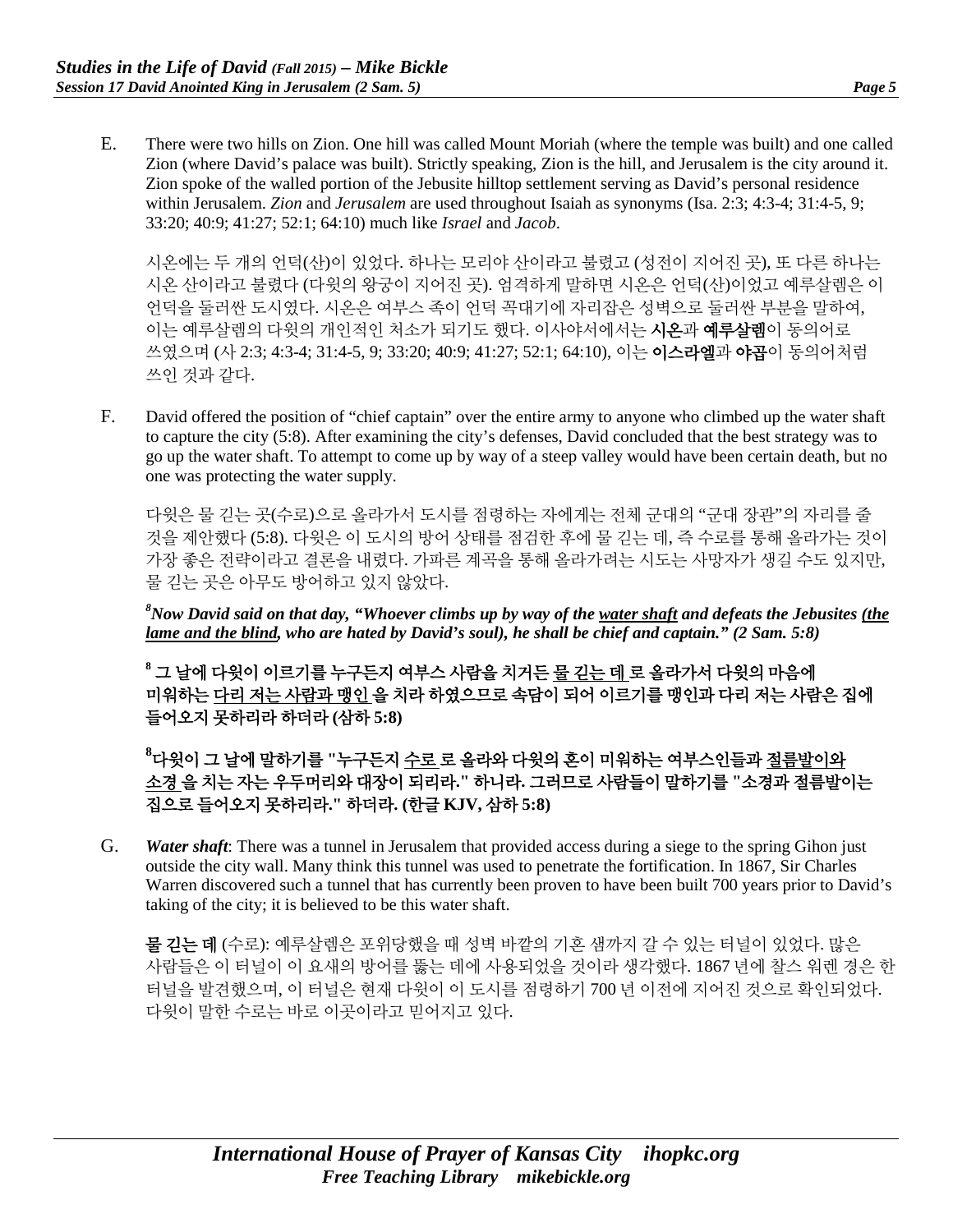E. There were two hills on Zion. One hill was called Mount Moriah (where the temple was built) and one called Zion (where David's palace was built). Strictly speaking, Zion is the hill, and Jerusalem is the city around it. Zion spoke of the walled portion of the Jebusite hilltop settlement serving as David's personal residence within Jerusalem. *Zion* and *Jerusalem* are used throughout Isaiah as synonyms (Isa. 2:3; 4:3-4; 31:4-5, 9; 33:20; 40:9; 41:27; 52:1; 64:10) much like *Israel* and *Jacob*.

시온에는 두 개의 언덕(산)이 있었다. 하나는 모리야 산이라고 불렸고 (성전이 지어진 곳), 또 다른 하나는 시온 산이라고 불렸다 (다윗의 왕궁이 지어진 곳). 엄격하게 말하면 시온은 언덕(산)이었고 예루살렘은 이 언덕을 둘러싼 도시였다. 시온은 여부스 족이 언덕 꼭대기에 자리잡은 성벽으로 둘러싼 부분을 말하여, 이는 예루살렘의 다윗의 개인적인 처소가 되기도 했다. 이사야서에서는 **시온과 예루살렘**이 동의어로 쓰였으며 (사 2:3; 4:3-4; 31:4-5, 9; 33:20; 40:9; 41:27; 52:1; 64:10), 이는 이스라엘과 야곱이 동의어처럼 쓰인 것과 같다.

F. David offered the position of "chief captain" over the entire army to anyone who climbed up the water shaft to capture the city (5:8). After examining the city's defenses, David concluded that the best strategy was to go up the water shaft. To attempt to come up by way of a steep valley would have been certain death, but no one was protecting the water supply.

다윗은 물 긷는 곳(수로)으로 올라가서 도시를 점령하는 자에게는 전체 군대의 "군대 장관"의 자리를 줄 것을 제안했다 (5:8). 다윗은 이 도시의 방어 상태를 점검한 후에 물 긷는 데, 즉 수로를 통해 올라가는 것이 가장 좋은 전략이라고 결론을 내렸다. 가파른 계곡을 통해 올라가려는 시도는 사망자가 생길 수도 있지만, 물 긷는 곳은 아무도 방어하고 있지 않았다.

*8 Now David said on that day, "Whoever climbs up by way of the water shaft and defeats the Jebusites (the lame and the blind, who are hated by David's soul), he shall be chief and captain." (2 Sam. 5:8)*

**<sup>8</sup>** 그 날에 다윗이 이르기를 누구든지 여부스 사람을 치거든 물 긷는 데 로 올라가서 다윗의 마음에 미워하는 다리 저는 사람과 맹인 을 치라 하였으므로 속담이 되어 이르기를 맹인과 다리 저는 사람은 집에 들어오지 못하리라 하더라 **(**삼하 **5:8)**

**8** 다윗이 그 날에 말하기를 **"**누구든지 수로 로 올라와 다윗의 혼이 미워하는 여부스인들과 절름발이와 소경 을 치는 자는 우두머리와 대장이 되리라**."** 하니라**.** 그러므로 사람들이 말하기를 **"**소경과 절름발이는 집으로 들어오지 못하리라**."** 하더라**. (**한글 **KJV,** 삼하 **5:8)**

G. *Water shaft*: There was a tunnel in Jerusalem that provided access during a siege to the spring Gihon just outside the city wall. Many think this tunnel was used to penetrate the fortification. In 1867, Sir Charles Warren discovered such a tunnel that has currently been proven to have been built 700 years prior to David's taking of the city; it is believed to be this water shaft.

물 긷는 데 (수로): 예루살렘은 포위당했을 때 성벽 바깥의 기혼 샘까지 갈 수 있는 터널이 있었다. 많은 사람들은 이 터널이 이 요새의 방어를 뚫는 데에 사용되었을 것이라 생각했다. 1867 년에 찰스 워렌 경은 한 터널을 발견했으며, 이 터널은 현재 다윗이 이 도시를 점령하기 700 년 이전에 지어진 것으로 확인되었다. 다윗이 말한 수로는 바로 이곳이라고 믿어지고 있다.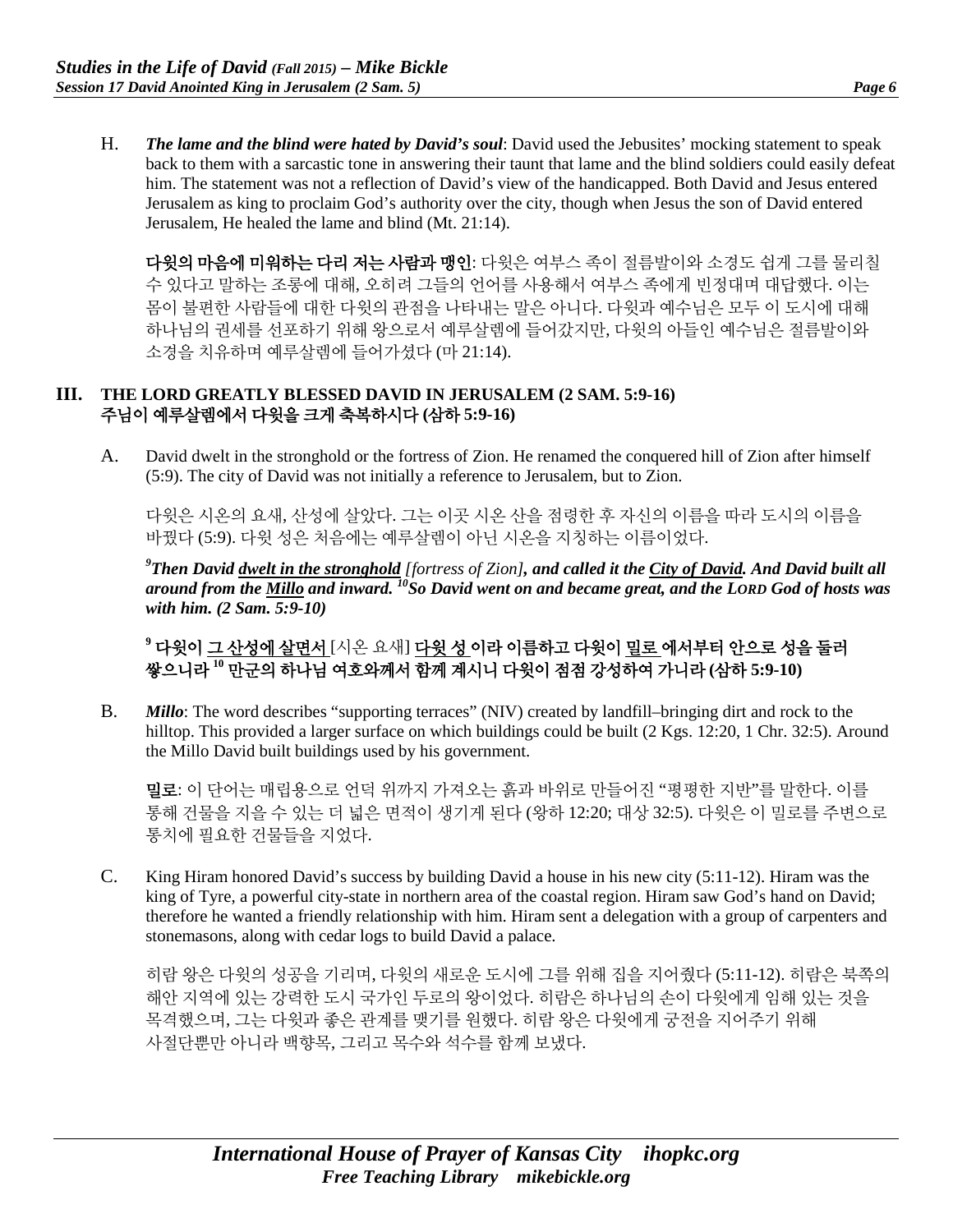H. *The lame and the blind were hated by David's soul*: David used the Jebusites' mocking statement to speak back to them with a sarcastic tone in answering their taunt that lame and the blind soldiers could easily defeat him. The statement was not a reflection of David's view of the handicapped. Both David and Jesus entered Jerusalem as king to proclaim God's authority over the city, though when Jesus the son of David entered Jerusalem, He healed the lame and blind (Mt. 21:14).

다윗의 마음에 미워하는 다리 저는 사람과 맹인: 다윗은 여부스 족이 절름발이와 소경도 쉽게 그를 물리칠 수 있다고 말하는 조롱에 대해, 오히려 그들의 언어를 사용해서 여부스 족에게 빈정대며 대답했다. 이는 몸이 불편한 사람들에 대한 다윗의 관점을 나타내는 말은 아니다. 다윗과 예수님은 모두 이 도시에 대해 하나님의 권세를 선포하기 위해 왕으로서 예루살렘에 들어갔지만, 다윗의 아들인 예수님은 절름발이와 소경을 치유하며 예루살렘에 들어가셨다 (마 21:14).

#### **III. THE LORD GREATLY BLESSED DAVID IN JERUSALEM (2 SAM. 5:9-16)** 주님이 예루살렘에서 다윗을 크게 축복하시다 **(**삼하 **5:9-16)**

A. David dwelt in the stronghold or the fortress of Zion. He renamed the conquered hill of Zion after himself (5:9). The city of David was not initially a reference to Jerusalem, but to Zion.

다윗은 시온의 요새, 산성에 살았다. 그는 이곳 시온 산을 점령한 후 자신의 이름을 따라 도시의 이름을 바꿨다 (5:9). 다윗 성은 처음에는 예루살렘이 아닌 시온을 지칭하는 이름이었다.

*9 Then David dwelt in the stronghold [fortress of Zion], and called it the City of David. And David built all around from the Millo and inward. 10So David went on and became great, and the LORD God of hosts was with him. (2 Sam. 5:9-10)*

**<sup>9</sup>** 다윗이 그 산성에 살면서 [시온 요새] 다윗 성 이라 이름하고 다윗이 밀로 에서부터 안으로 성을 둘러 쌓으니라 **<sup>10</sup>** 만군의 하나님 여호와께서 함께 계시니 다윗이 점점 강성하여 가니라 **(**삼하 **5:9-10)**

B. *Millo*: The word describes "supporting terraces" (NIV) created by landfill–bringing dirt and rock to the hilltop. This provided a larger surface on which buildings could be built (2 Kgs. 12:20, 1 Chr. 32:5). Around the Millo David built buildings used by his government.

밀로: 이 단어는 매립용으로 언덕 위까지 가져오는 흙과 바위로 만들어진 "평평한 지반"를 말한다. 이를 통해 건물을 지을 수 있는 더 넓은 면적이 생기게 된다 (왕하 12:20; 대상 32:5). 다윗은 이 밀로를 주변으로 통치에 필요한 건물들을 지었다.

C. King Hiram honored David's success by building David a house in his new city (5:11-12). Hiram was the king of Tyre, a powerful city-state in northern area of the coastal region. Hiram saw God's hand on David; therefore he wanted a friendly relationship with him. Hiram sent a delegation with a group of carpenters and stonemasons, along with cedar logs to build David a palace.

히람 왕은 다윗의 성공을 기리며, 다윗의 새로운 도시에 그를 위해 집을 지어줬다 (5:11-12). 히람은 북쪽의 해안 지역에 있는 강력한 도시 국가인 두로의 왕이었다. 히람은 하나님의 손이 다윗에게 임해 있는 것을 목격했으며, 그는 다윗과 좋은 관계를 맺기를 원했다. 히람 왕은 다윗에게 궁전을 지어주기 위해 사절단뿐만 아니라 백향목, 그리고 목수와 석수를 함께 보냈다.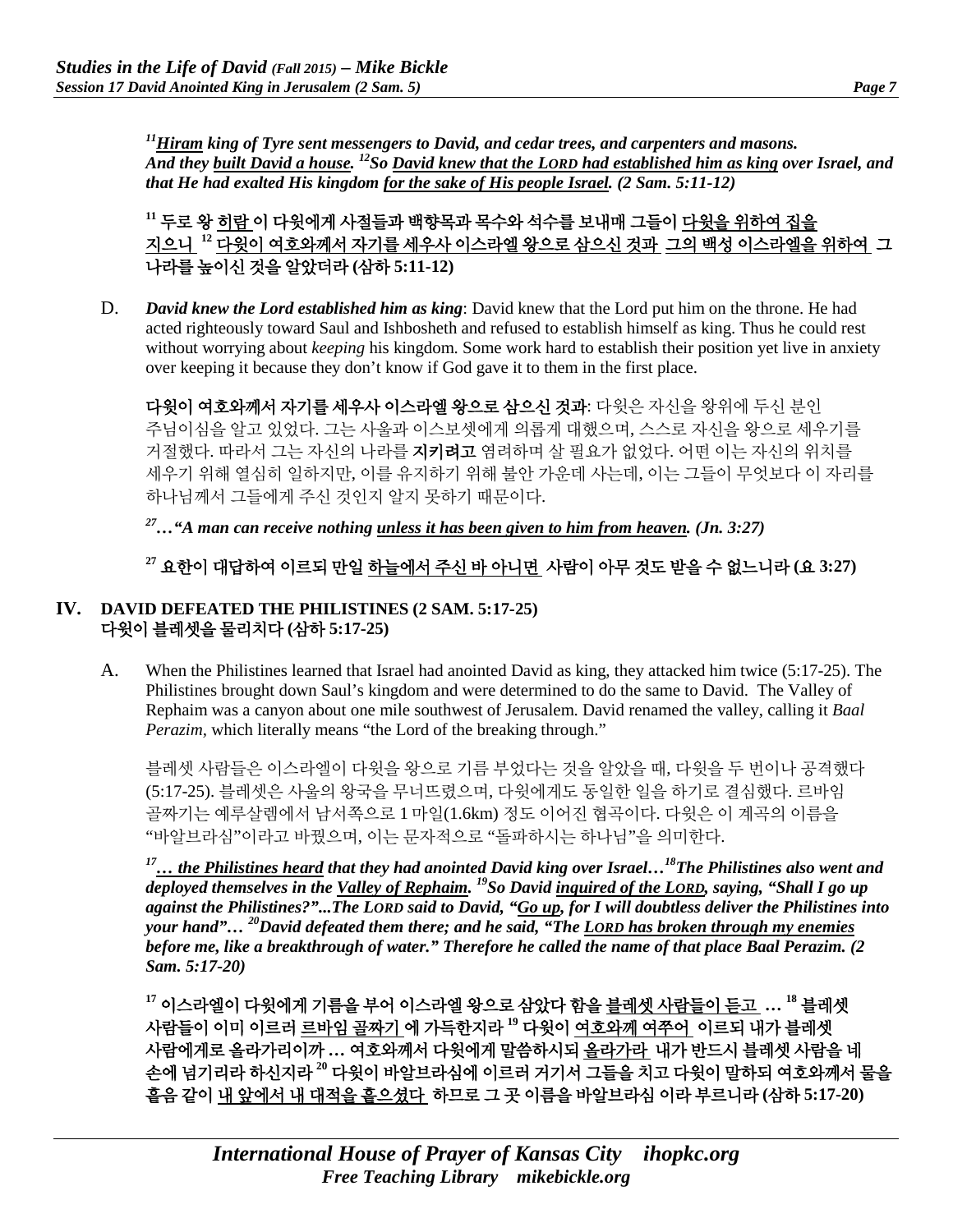*11Hiram king of Tyre sent messengers to David, and cedar trees, and carpenters and masons. And they built David a house. 12So David knew that the LORD had established him as king over Israel, and that He had exalted His kingdom for the sake of His people Israel. (2 Sam. 5:11-12)*

**<sup>11</sup>** 두로 왕 히람 이 다윗에게 사절들과 백향목과 목수와 석수를 보내매 그들이 다윗을 위하여 집을 지으니 **<sup>12</sup>** 다윗이 여호와께서 자기를 세우사 이스라엘 왕으로 삼으신 것과 그의 백성 이스라엘을 위하여 그 나라를 높이신 것을 알았더라 **(**삼하 **5:11-12)**

D. *David knew the Lord established him as king*: David knew that the Lord put him on the throne. He had acted righteously toward Saul and Ishbosheth and refused to establish himself as king. Thus he could rest without worrying about *keeping* his kingdom. Some work hard to establish their position yet live in anxiety over keeping it because they don't know if God gave it to them in the first place.

다윗이 여호와께서 자기를 세우사 이스라엘 왕으로 삼으신 것과: 다윗은 자신을 왕위에 두신 분인 주님이심을 알고 있었다. 그는 사울과 이스보셋에게 의롭게 대했으며, 스스로 자신을 왕으로 세우기를 거절했다. 따라서 그는 자신의 나라를 지키려고 염려하며 살 필요가 없었다. 어떤 이는 자신의 위치를 세우기 위해 열심히 일하지만, 이를 유지하기 위해 불안 가운데 사는데, 이는 그들이 무엇보다 이 자리를 하나님께서 그들에게 주신 것인지 알지 못하기 때문이다.

*27…"A man can receive nothing unless it has been given to him from heaven. (Jn. 3:27)*

## **<sup>27</sup>** 요한이 대답하여 이르되 만일 하늘에서 주신 바 아니면 사람이 아무 것도 받을 수 없느니라 **(**요 **3:27)**

#### **IV. DAVID DEFEATED THE PHILISTINES (2 SAM. 5:17-25)** 다윗이 블레셋을 물리치다 **(**삼하 **5:17-25)**

A. When the Philistines learned that Israel had anointed David as king, they attacked him twice (5:17-25). The Philistines brought down Saul's kingdom and were determined to do the same to David. The Valley of Rephaim was a canyon about one mile southwest of Jerusalem. David renamed the valley, calling it *Baal Perazim,* which literally means "the Lord of the breaking through."

블레셋 사람들은 이스라엘이 다윗을 왕으로 기름 부었다는 것을 알았을 때, 다윗을 두 번이나 공격했다 (5:17-25). 블레셋은 사울의 왕국을 무너뜨렸으며, 다윗에게도 동일한 일을 하기로 결심했다. 르바임 골짜기는 예루살렘에서 남서쪽으로 1 마일(1.6km) 정도 이어진 협곡이다. 다윗은 이 계곡의 이름을 "바알브라심"이라고 바꿨으며, 이는 문자적으로 "돌파하시는 하나님"을 의미한다.

*17… the Philistines heard that they had anointed David king over Israel…18The Philistines also went and deployed themselves in the Valley of Rephaim. 19So David inquired of the LORD, saying, "Shall I go up against the Philistines?"...The LORD said to David, "Go up, for I will doubtless deliver the Philistines into your hand"… 20David defeated them there; and he said, "The LORD has broken through my enemies before me, like a breakthrough of water." Therefore he called the name of that place Baal Perazim. (2 Sam. 5:17-20)*

**<sup>17</sup>** 이스라엘이 다윗에게 기름을 부어 이스라엘 왕으로 삼았다 함을 블레셋 사람들이 듣고 **… <sup>18</sup>** 블레셋 사람들이 이미 이르러 르바임 골짜기 에 가득한지라 **<sup>19</sup>** 다윗이 여호와께 여쭈어 이르되 내가 블레셋 사람에게로 올라가리이까 **…** 여호와께서 다윗에게 말씀하시되 올라가라 내가 반드시 블레셋 사람을 네 손에 넘기리라 하신지라 **<sup>20</sup>** 다윗이 바알브라심에 이르러 거기서 그들을 치고 다윗이 말하되 여호와께서 물을 흩음 같이 내 앞에서 내 대적을 흩으셨다 하므로 그 곳 이름을 바알브라심 이라 부르니라 **(**삼하 **5:17-20)**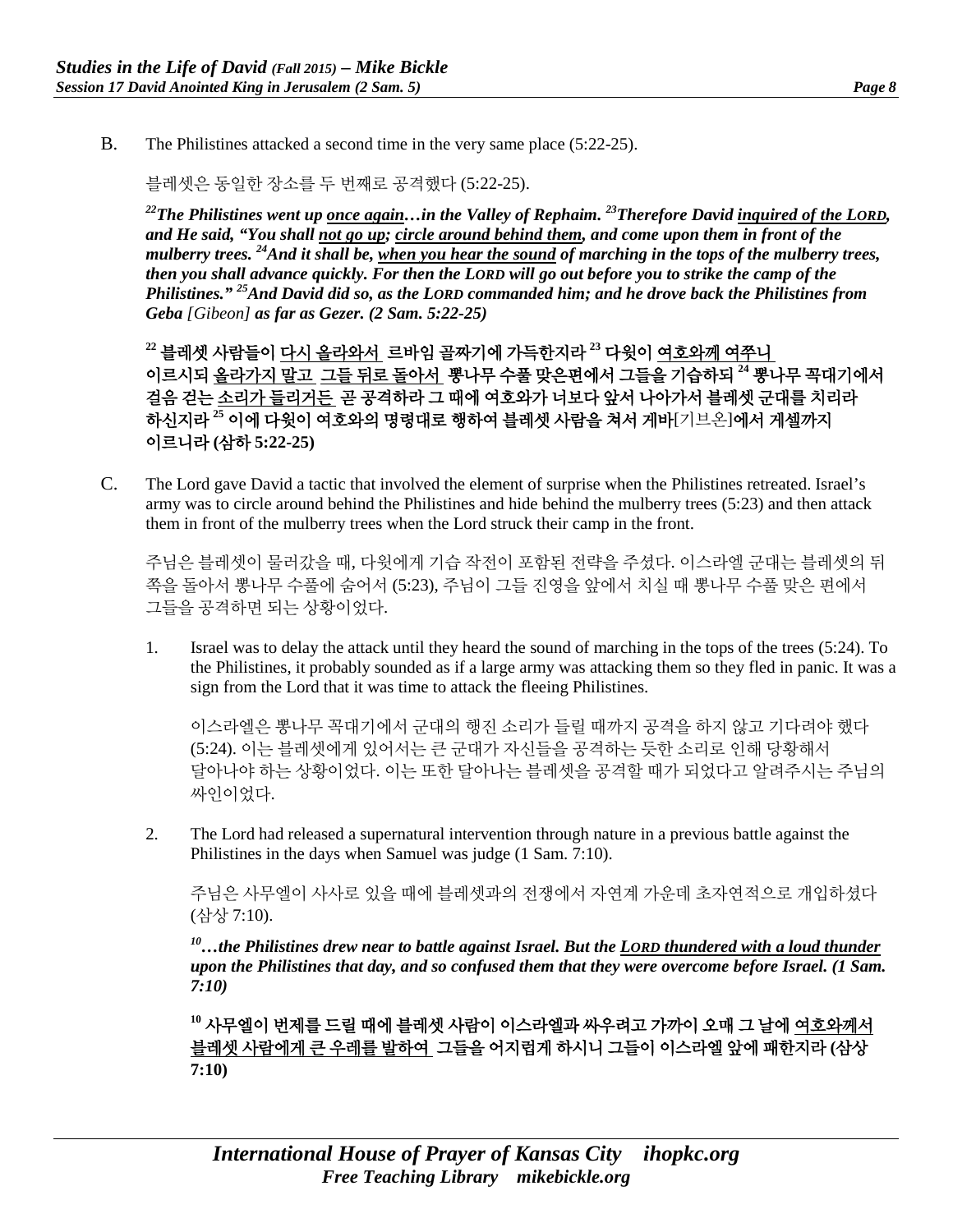B. The Philistines attacked a second time in the very same place (5:22-25).

블레셋은 동일한 장소를 두 번째로 공격했다 (5:22-25).

*22The Philistines went up once again…in the Valley of Rephaim. 23Therefore David inquired of the LORD, and He said, "You shall not go up; circle around behind them, and come upon them in front of the mulberry trees. 24And it shall be, when you hear the sound of marching in the tops of the mulberry trees, then you shall advance quickly. For then the LORD will go out before you to strike the camp of the Philistines." 25And David did so, as the LORD commanded him; and he drove back the Philistines from Geba [Gibeon] as far as Gezer. (2 Sam. 5:22-25)*

**<sup>22</sup>** 블레셋 사람들이 다시 올라와서 르바임 골짜기에 가득한지라 **<sup>23</sup>** 다윗이 여호와께 여쭈니 이르시되 올라가지 말고 그들 뒤로 돌아서 뽕나무 수풀 맞은편에서 그들을 기습하되 **<sup>24</sup>** 뽕나무 꼭대기에서 걸음 걷는 소리가 들리거든 곧 공격하라 그 때에 여호와가 너보다 앞서 나아가서 블레셋 군대를 치리라 하신지라 **<sup>25</sup>** 이에 다윗이 여호와의 명령대로 행하여 블레셋 사람을 쳐서 게바[기브온]에서 게셀까지 이르니라 **(**삼하 **5:22-25)**

C. The Lord gave David a tactic that involved the element of surprise when the Philistines retreated. Israel's army was to circle around behind the Philistines and hide behind the mulberry trees (5:23) and then attack them in front of the mulberry trees when the Lord struck their camp in the front.

주님은 블레셋이 물러갔을 때, 다윗에게 기습 작전이 포함된 전략을 주셨다. 이스라엘 군대는 블레셋의 뒤 쪽을 돌아서 뽕나무 수풀에 숨어서 (5:23), 주님이 그들 진영을 앞에서 치실 때 뽕나무 수풀 맞은 편에서 그들을 공격하면 되는 상황이었다.

1. Israel was to delay the attack until they heard the sound of marching in the tops of the trees (5:24). To the Philistines, it probably sounded as if a large army was attacking them so they fled in panic. It was a sign from the Lord that it was time to attack the fleeing Philistines.

이스라엘은 뽕나무 꼭대기에서 군대의 행진 소리가 들릴 때까지 공격을 하지 않고 기다려야 했다 (5:24). 이는 블레셋에게 있어서는 큰 군대가 자신들을 공격하는 듯한 소리로 인해 당황해서 달아나야 하는 상황이었다. 이는 또한 달아나는 블레셋을 공격할 때가 되었다고 알려주시는 주님의 싸인이었다.

2. The Lord had released a supernatural intervention through nature in a previous battle against the Philistines in the days when Samuel was judge (1 Sam. 7:10).

주님은 사무엘이 사사로 있을 때에 블레셋과의 전쟁에서 자연계 가운데 초자연적으로 개입하셨다 (삼상 7:10).

*10…the Philistines drew near to battle against Israel. But the LORD thundered with a loud thunder upon the Philistines that day, and so confused them that they were overcome before Israel. (1 Sam. 7:10)*

**<sup>10</sup>** 사무엘이 번제를 드릴 때에 블레셋 사람이 이스라엘과 싸우려고 가까이 오매 그 날에 여호와께서 블레셋 사람에게 큰 우레를 발하여 그들을 어지럽게 하시니 그들이 이스라엘 앞에 패한지라 **(**삼상 **7:10)**